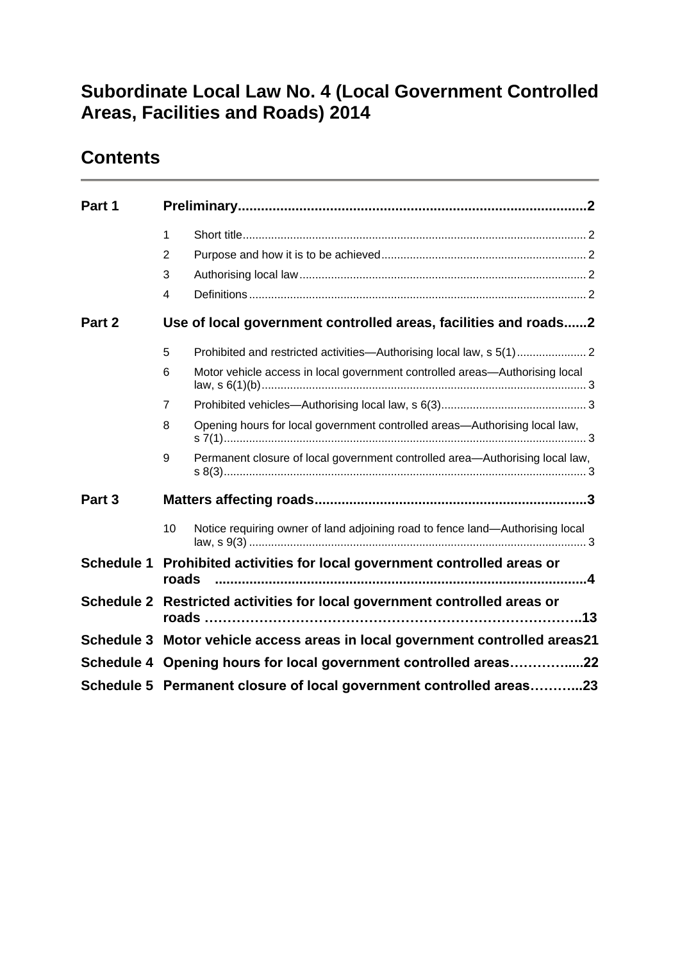### **Subordinate Local Law No. 4 (Local Government Controlled Areas, Facilities and Roads) 2014**

### **Contents**

| Part 1            |                                                                              |                                                                               |  |
|-------------------|------------------------------------------------------------------------------|-------------------------------------------------------------------------------|--|
|                   | $\mathbf{1}$                                                                 |                                                                               |  |
|                   | $\overline{2}$                                                               |                                                                               |  |
|                   | 3                                                                            |                                                                               |  |
|                   | $\overline{4}$                                                               |                                                                               |  |
| Part 2            |                                                                              | Use of local government controlled areas, facilities and roads2               |  |
|                   | 5                                                                            |                                                                               |  |
|                   | 6                                                                            | Motor vehicle access in local government controlled areas—Authorising local   |  |
|                   | $\overline{7}$                                                               |                                                                               |  |
|                   | 8                                                                            | Opening hours for local government controlled areas—Authorising local law,    |  |
|                   | 9                                                                            | Permanent closure of local government controlled area-Authorising local law,  |  |
| Part 3            |                                                                              |                                                                               |  |
|                   | 10                                                                           | Notice requiring owner of land adjoining road to fence land-Authorising local |  |
| <b>Schedule 1</b> | Prohibited activities for local government controlled areas or<br>roads      |                                                                               |  |
| <b>Schedule 2</b> | Restricted activities for local government controlled areas or               |                                                                               |  |
|                   | Schedule 3 Motor vehicle access areas in local government controlled areas21 |                                                                               |  |
|                   | Schedule 4 Opening hours for local government controlled areas22             |                                                                               |  |
|                   | Schedule 5 Permanent closure of local government controlled areas23          |                                                                               |  |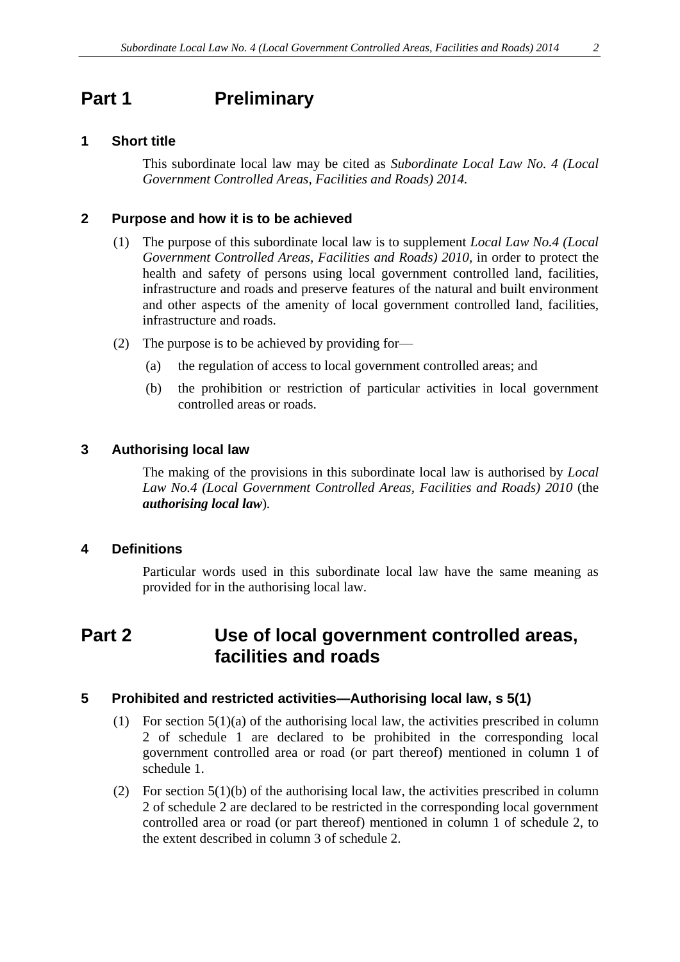### <span id="page-1-0"></span>**Part 1 Preliminary**

#### <span id="page-1-1"></span>**1 Short title**

This subordinate local law may be cited as *Subordinate Local Law No. 4 (Local Government Controlled Areas, Facilities and Roads) 2014.*

#### <span id="page-1-2"></span>**2 Purpose and how it is to be achieved**

- (1) The purpose of this subordinate local law is to supplement *Local Law No.4 (Local Government Controlled Areas, Facilities and Roads) 2010,* in order to protect the health and safety of persons using local government controlled land, facilities, infrastructure and roads and preserve features of the natural and built environment and other aspects of the amenity of local government controlled land, facilities, infrastructure and roads.
- (2) The purpose is to be achieved by providing for—
	- (a) the regulation of access to local government controlled areas; and
	- (b) the prohibition or restriction of particular activities in local government controlled areas or roads.

### <span id="page-1-3"></span>**3 Authorising local law**

The making of the provisions in this subordinate local law is authorised by *Local Law No.4 (Local Government Controlled Areas, Facilities and Roads) 2010* (the *authorising local law*)*.*

#### <span id="page-1-4"></span>**4 Definitions**

Particular words used in this subordinate local law have the same meaning as provided for in the authorising local law.

### <span id="page-1-5"></span>**Part 2 Use of local government controlled areas, facilities and roads**

### <span id="page-1-6"></span>**5 Prohibited and restricted activities—Authorising local law, s 5(1)**

- (1) For section  $5(1)(a)$  of the authorising local law, the activities prescribed in column 2 of schedule 1 are declared to be prohibited in the corresponding local government controlled area or road (or part thereof) mentioned in column 1 of schedule 1.
- (2) For section  $5(1)(b)$  of the authorising local law, the activities prescribed in column 2 of schedule 2 are declared to be restricted in the corresponding local government controlled area or road (or part thereof) mentioned in column 1 of schedule 2, to the extent described in column 3 of schedule 2.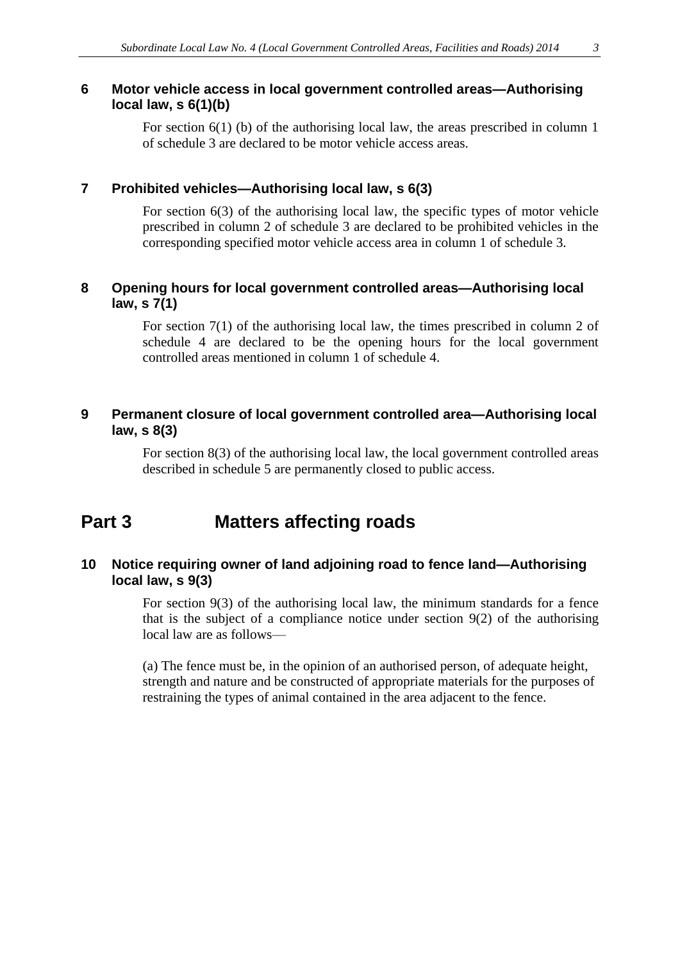<span id="page-2-0"></span>For section 6(1) (b) of the authorising local law, the areas prescribed in column 1 of schedule 3 are declared to be motor vehicle access areas.

### <span id="page-2-1"></span>**7 Prohibited vehicles—Authorising local law, s 6(3)**

For section 6(3) of the authorising local law, the specific types of motor vehicle prescribed in column 2 of schedule 3 are declared to be prohibited vehicles in the corresponding specified motor vehicle access area in column 1 of schedule 3.

### <span id="page-2-2"></span>**8 Opening hours for local government controlled areas—Authorising local law, s 7(1)**

For section 7(1) of the authorising local law, the times prescribed in column 2 of schedule 4 are declared to be the opening hours for the local government controlled areas mentioned in column 1 of schedule 4.

### <span id="page-2-3"></span>**9 Permanent closure of local government controlled area—Authorising local law, s 8(3)**

For section 8(3) of the authorising local law, the local government controlled areas described in schedule 5 are permanently closed to public access.

# <span id="page-2-4"></span>**Part 3 Matters affecting roads**

### <span id="page-2-5"></span>**10 Notice requiring owner of land adjoining road to fence land—Authorising local law, s 9(3)**

For section 9(3) of the authorising local law, the minimum standards for a fence that is the subject of a compliance notice under section 9(2) of the authorising local law are as follows—

(a) The fence must be, in the opinion of an authorised person, of adequate height, strength and nature and be constructed of appropriate materials for the purposes of restraining the types of animal contained in the area adjacent to the fence.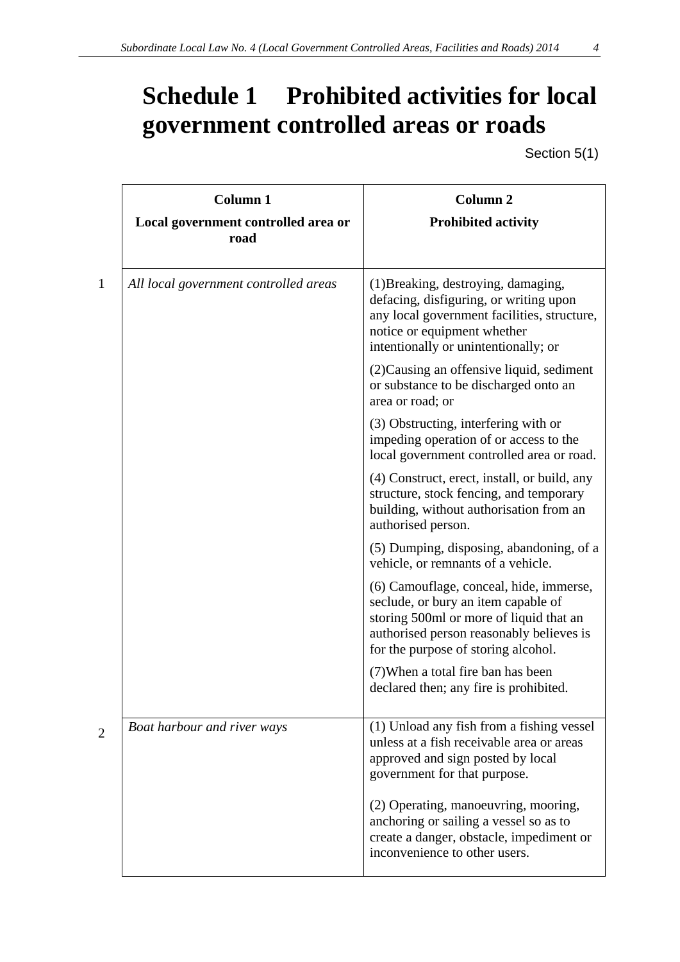# <span id="page-3-0"></span>**Schedule 1 Prohibited activities for local government controlled areas or roads**

Section 5(1)

| Column 1<br>Local government controlled area or<br>road | <b>Column 2</b><br><b>Prohibited activity</b>                                                                                                                                                                |
|---------------------------------------------------------|--------------------------------------------------------------------------------------------------------------------------------------------------------------------------------------------------------------|
| All local government controlled areas                   | (1) Breaking, destroying, damaging,<br>defacing, disfiguring, or writing upon<br>any local government facilities, structure,<br>notice or equipment whether<br>intentionally or unintentionally; or          |
|                                                         | (2) Causing an offensive liquid, sediment<br>or substance to be discharged onto an<br>area or road; or                                                                                                       |
|                                                         | (3) Obstructing, interfering with or<br>impeding operation of or access to the<br>local government controlled area or road.                                                                                  |
|                                                         | (4) Construct, erect, install, or build, any<br>structure, stock fencing, and temporary<br>building, without authorisation from an<br>authorised person.                                                     |
|                                                         | (5) Dumping, disposing, abandoning, of a<br>vehicle, or remnants of a vehicle.                                                                                                                               |
|                                                         | (6) Camouflage, conceal, hide, immerse,<br>seclude, or bury an item capable of<br>storing 500ml or more of liquid that an<br>authorised person reasonably believes is<br>for the purpose of storing alcohol. |
|                                                         | (7) When a total fire ban has been<br>declared then; any fire is prohibited.                                                                                                                                 |
| Boat harbour and river ways                             | (1) Unload any fish from a fishing vessel<br>unless at a fish receivable area or areas<br>approved and sign posted by local<br>government for that purpose.                                                  |
|                                                         | (2) Operating, manoeuvring, mooring,<br>anchoring or sailing a vessel so as to<br>create a danger, obstacle, impediment or<br>inconvenience to other users.                                                  |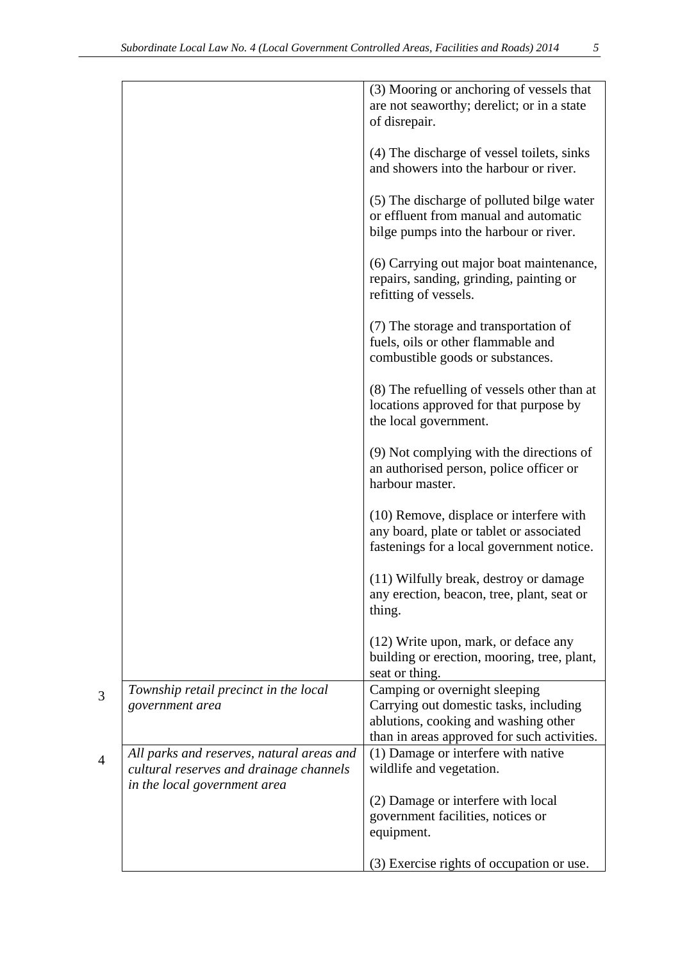|                                           | (3) Mooring or anchoring of vessels that    |
|-------------------------------------------|---------------------------------------------|
|                                           | are not seaworthy; derelict; or in a state  |
|                                           | of disrepair.                               |
|                                           |                                             |
|                                           | (4) The discharge of vessel toilets, sinks  |
|                                           | and showers into the harbour or river.      |
|                                           |                                             |
|                                           | (5) The discharge of polluted bilge water   |
|                                           | or effluent from manual and automatic       |
|                                           | bilge pumps into the harbour or river.      |
|                                           |                                             |
|                                           | (6) Carrying out major boat maintenance,    |
|                                           | repairs, sanding, grinding, painting or     |
|                                           | refitting of vessels.                       |
|                                           |                                             |
|                                           | (7) The storage and transportation of       |
|                                           | fuels, oils or other flammable and          |
|                                           | combustible goods or substances.            |
|                                           |                                             |
|                                           | (8) The refuelling of vessels other than at |
|                                           | locations approved for that purpose by      |
|                                           | the local government.                       |
|                                           | (9) Not complying with the directions of    |
|                                           | an authorised person, police officer or     |
|                                           | harbour master.                             |
|                                           |                                             |
|                                           | $(10)$ Remove, displace or interfere with   |
|                                           | any board, plate or tablet or associated    |
|                                           | fastenings for a local government notice.   |
|                                           |                                             |
|                                           | (11) Wilfully break, destroy or damage      |
|                                           | any erection, beacon, tree, plant, seat or  |
|                                           | thing.                                      |
|                                           |                                             |
|                                           | (12) Write upon, mark, or deface any        |
|                                           | building or erection, mooring, tree, plant, |
|                                           | seat or thing.                              |
| Township retail precinct in the local     | Camping or overnight sleeping               |
| government area                           | Carrying out domestic tasks, including      |
|                                           | ablutions, cooking and washing other        |
|                                           | than in areas approved for such activities. |
| All parks and reserves, natural areas and | (1) Damage or interfere with native         |
| cultural reserves and drainage channels   | wildlife and vegetation.                    |
| in the local government area              |                                             |
|                                           | (2) Damage or interfere with local          |
|                                           | government facilities, notices or           |
|                                           | equipment.                                  |
|                                           |                                             |
|                                           | (3) Exercise rights of occupation or use.   |

3

4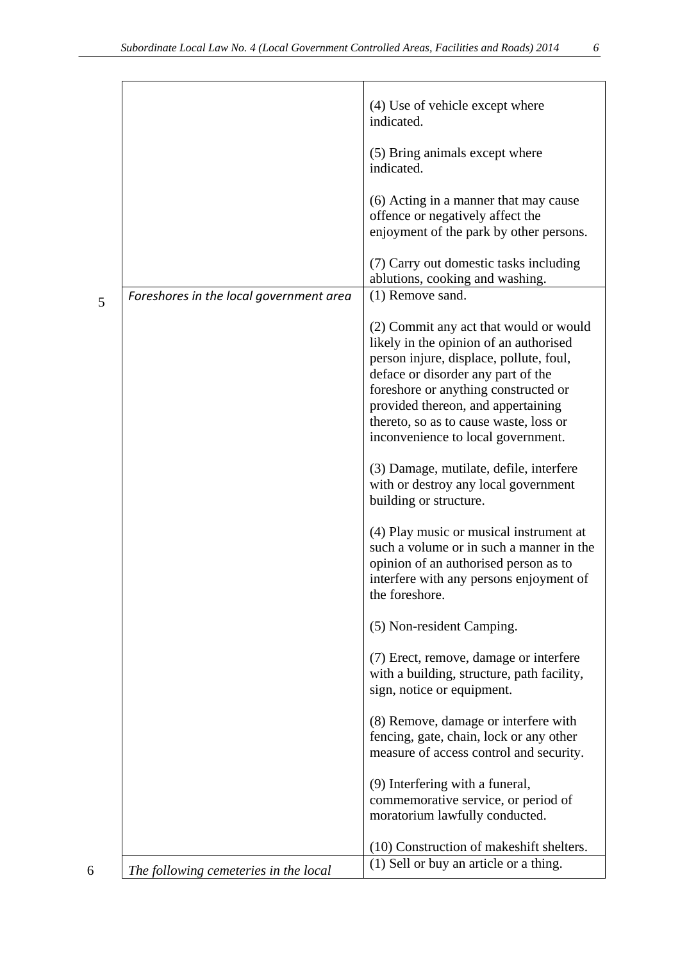|                                         | (4) Use of vehicle except where<br>indicated.                                                                                                                                                                                                                                                                                   |
|-----------------------------------------|---------------------------------------------------------------------------------------------------------------------------------------------------------------------------------------------------------------------------------------------------------------------------------------------------------------------------------|
|                                         | (5) Bring animals except where<br>indicated.                                                                                                                                                                                                                                                                                    |
|                                         | (6) Acting in a manner that may cause<br>offence or negatively affect the<br>enjoyment of the park by other persons.                                                                                                                                                                                                            |
|                                         | (7) Carry out domestic tasks including<br>ablutions, cooking and washing.                                                                                                                                                                                                                                                       |
| Foreshores in the local government area | (1) Remove sand.                                                                                                                                                                                                                                                                                                                |
|                                         | (2) Commit any act that would or would<br>likely in the opinion of an authorised<br>person injure, displace, pollute, foul,<br>deface or disorder any part of the<br>foreshore or anything constructed or<br>provided thereon, and appertaining<br>thereto, so as to cause waste, loss or<br>inconvenience to local government. |
|                                         | (3) Damage, mutilate, defile, interfere<br>with or destroy any local government<br>building or structure.                                                                                                                                                                                                                       |
|                                         | (4) Play music or musical instrument at<br>such a volume or in such a manner in the<br>opinion of an authorised person as to<br>interfere with any persons enjoyment of<br>the foreshore.                                                                                                                                       |
|                                         | (5) Non-resident Camping.                                                                                                                                                                                                                                                                                                       |
|                                         | (7) Erect, remove, damage or interfere<br>with a building, structure, path facility,<br>sign, notice or equipment.                                                                                                                                                                                                              |
|                                         | (8) Remove, damage or interfere with<br>fencing, gate, chain, lock or any other<br>measure of access control and security.                                                                                                                                                                                                      |
|                                         | (9) Interfering with a funeral,<br>commemorative service, or period of<br>moratorium lawfully conducted.                                                                                                                                                                                                                        |

 $(10)$  Construction of makeshift shelters.<br>(1) Sell or buy an article or a thing.

5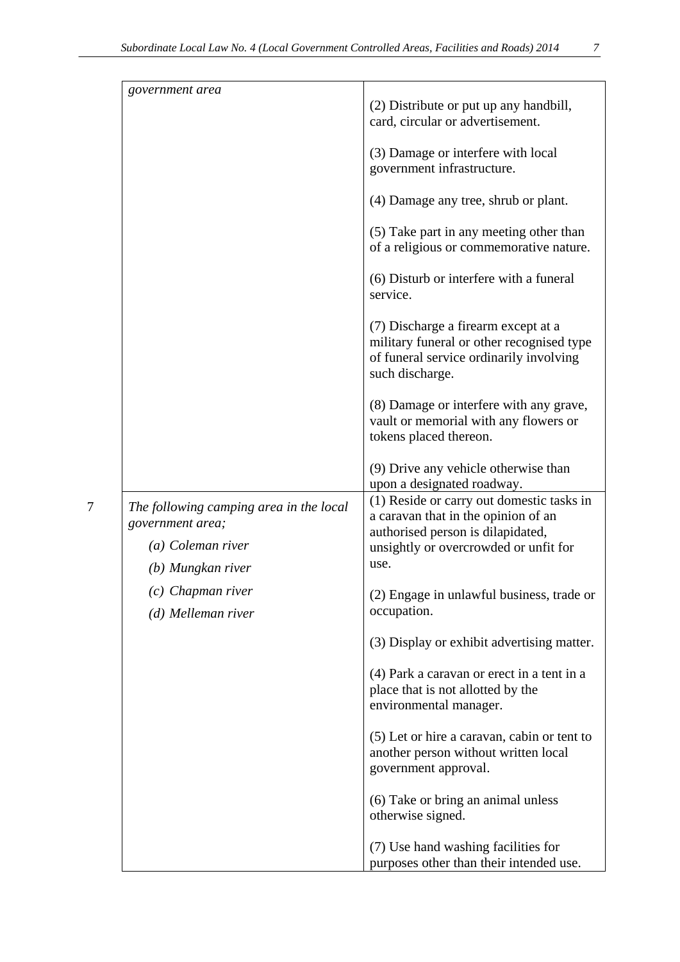| government area                                                                                       | (2) Distribute or put up any handbill,<br>card, circular or advertisement.<br>(3) Damage or interfere with local                                                       |
|-------------------------------------------------------------------------------------------------------|------------------------------------------------------------------------------------------------------------------------------------------------------------------------|
|                                                                                                       | government infrastructure.<br>(4) Damage any tree, shrub or plant.                                                                                                     |
|                                                                                                       | (5) Take part in any meeting other than<br>of a religious or commemorative nature.                                                                                     |
|                                                                                                       | (6) Disturb or interfere with a funeral<br>service.                                                                                                                    |
|                                                                                                       | (7) Discharge a firearm except at a<br>military funeral or other recognised type<br>of funeral service ordinarily involving<br>such discharge.                         |
|                                                                                                       | (8) Damage or interfere with any grave,<br>vault or memorial with any flowers or<br>tokens placed thereon.                                                             |
|                                                                                                       | (9) Drive any vehicle otherwise than<br>upon a designated roadway.                                                                                                     |
| The following camping area in the local<br>government area;<br>(a) Coleman river<br>(b) Mungkan river | (1) Reside or carry out domestic tasks in<br>a caravan that in the opinion of an<br>authorised person is dilapidated,<br>unsightly or overcrowded or unfit for<br>use. |
| $(c)$ Chapman river<br>(d) Melleman river                                                             | (2) Engage in unlawful business, trade or<br>occupation.                                                                                                               |
|                                                                                                       | (3) Display or exhibit advertising matter.                                                                                                                             |
|                                                                                                       | (4) Park a caravan or erect in a tent in a<br>place that is not allotted by the<br>environmental manager.                                                              |
|                                                                                                       | (5) Let or hire a caravan, cabin or tent to<br>another person without written local<br>government approval.                                                            |
|                                                                                                       | (6) Take or bring an animal unless<br>otherwise signed.                                                                                                                |
|                                                                                                       | (7) Use hand washing facilities for<br>purposes other than their intended use.                                                                                         |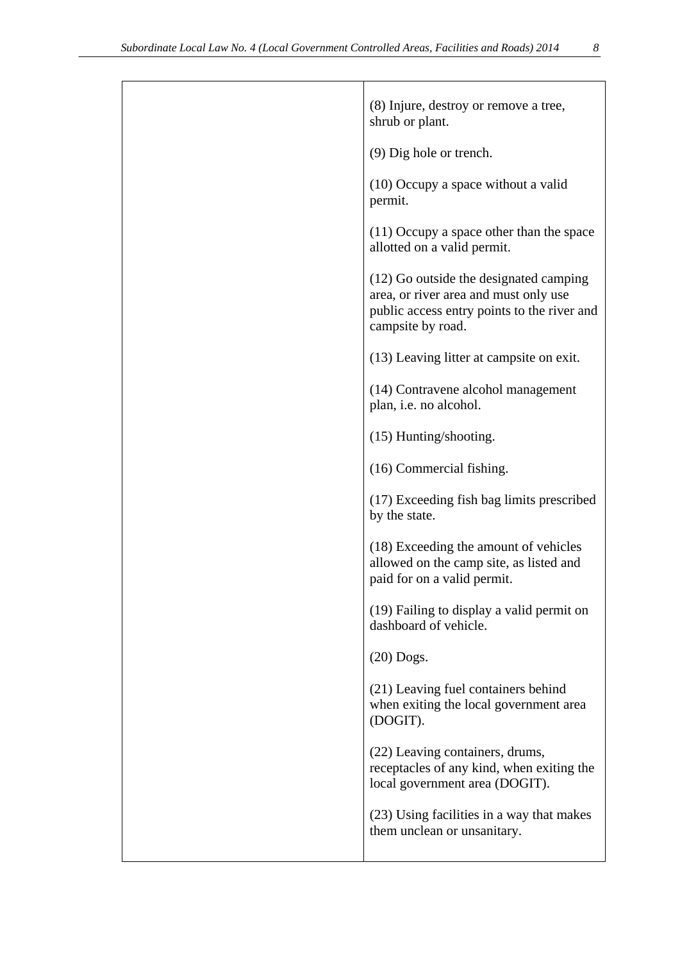| (8) Injure, destroy or remove a tree,<br>shrub or plant.                                                                                            |
|-----------------------------------------------------------------------------------------------------------------------------------------------------|
| (9) Dig hole or trench.                                                                                                                             |
| (10) Occupy a space without a valid<br>permit.                                                                                                      |
| $(11)$ Occupy a space other than the space<br>allotted on a valid permit.                                                                           |
| (12) Go outside the designated camping<br>area, or river area and must only use<br>public access entry points to the river and<br>campsite by road. |
| (13) Leaving litter at campsite on exit.                                                                                                            |
| (14) Contravene alcohol management<br>plan, i.e. no alcohol.                                                                                        |
| (15) Hunting/shooting.                                                                                                                              |
| (16) Commercial fishing.                                                                                                                            |
| (17) Exceeding fish bag limits prescribed<br>by the state.                                                                                          |
| (18) Exceeding the amount of vehicles<br>allowed on the camp site, as listed and<br>paid for on a valid permit.                                     |
| (19) Failing to display a valid permit on<br>dashboard of vehicle.                                                                                  |
| $(20)$ Dogs.                                                                                                                                        |
| (21) Leaving fuel containers behind<br>when exiting the local government area<br>(DOGIT).                                                           |
| (22) Leaving containers, drums,<br>receptacles of any kind, when exiting the<br>local government area (DOGIT).                                      |
| (23) Using facilities in a way that makes<br>them unclean or unsanitary.                                                                            |
|                                                                                                                                                     |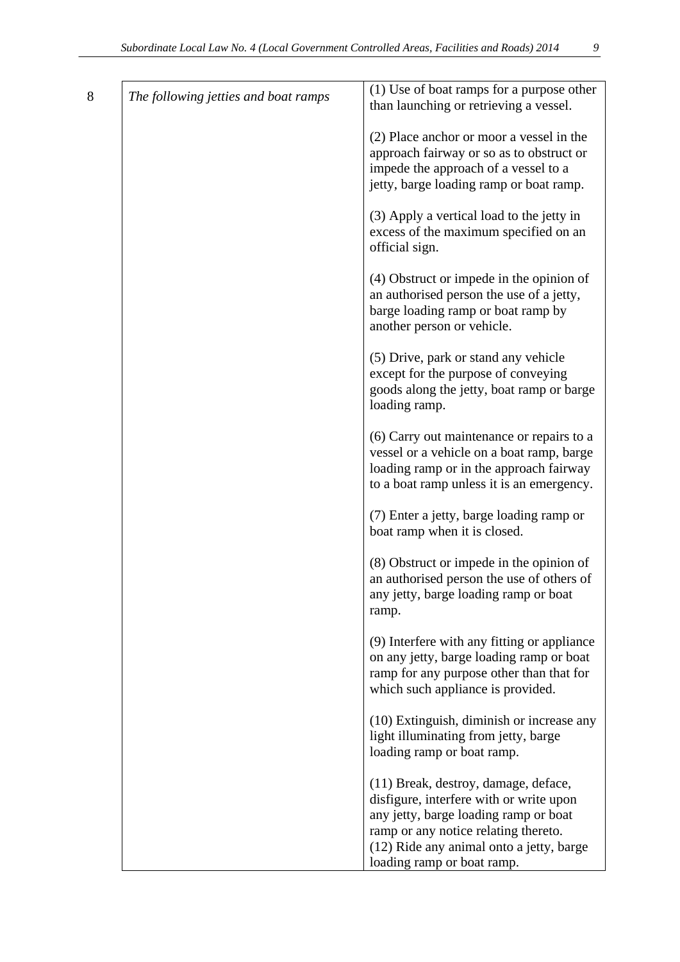| The following jetties and boat ramps | (1) Use of boat ramps for a purpose other<br>than launching or retrieving a vessel.                                                                                                                                                        |
|--------------------------------------|--------------------------------------------------------------------------------------------------------------------------------------------------------------------------------------------------------------------------------------------|
|                                      | (2) Place anchor or moor a vessel in the<br>approach fairway or so as to obstruct or<br>impede the approach of a vessel to a<br>jetty, barge loading ramp or boat ramp.                                                                    |
|                                      | (3) Apply a vertical load to the jetty in<br>excess of the maximum specified on an<br>official sign.                                                                                                                                       |
|                                      | (4) Obstruct or impede in the opinion of<br>an authorised person the use of a jetty,<br>barge loading ramp or boat ramp by<br>another person or vehicle.                                                                                   |
|                                      | (5) Drive, park or stand any vehicle<br>except for the purpose of conveying<br>goods along the jetty, boat ramp or barge<br>loading ramp.                                                                                                  |
|                                      | (6) Carry out maintenance or repairs to a<br>vessel or a vehicle on a boat ramp, barge<br>loading ramp or in the approach fairway<br>to a boat ramp unless it is an emergency.                                                             |
|                                      | (7) Enter a jetty, barge loading ramp or<br>boat ramp when it is closed.                                                                                                                                                                   |
|                                      | (8) Obstruct or impede in the opinion of<br>an authorised person the use of others of<br>any jetty, barge loading ramp or boat<br>ramp.                                                                                                    |
|                                      | (9) Interfere with any fitting or appliance<br>on any jetty, barge loading ramp or boat<br>ramp for any purpose other than that for<br>which such appliance is provided.                                                                   |
|                                      | (10) Extinguish, diminish or increase any<br>light illuminating from jetty, barge<br>loading ramp or boat ramp.                                                                                                                            |
|                                      | (11) Break, destroy, damage, deface,<br>disfigure, interfere with or write upon<br>any jetty, barge loading ramp or boat<br>ramp or any notice relating thereto.<br>(12) Ride any animal onto a jetty, barge<br>loading ramp or boat ramp. |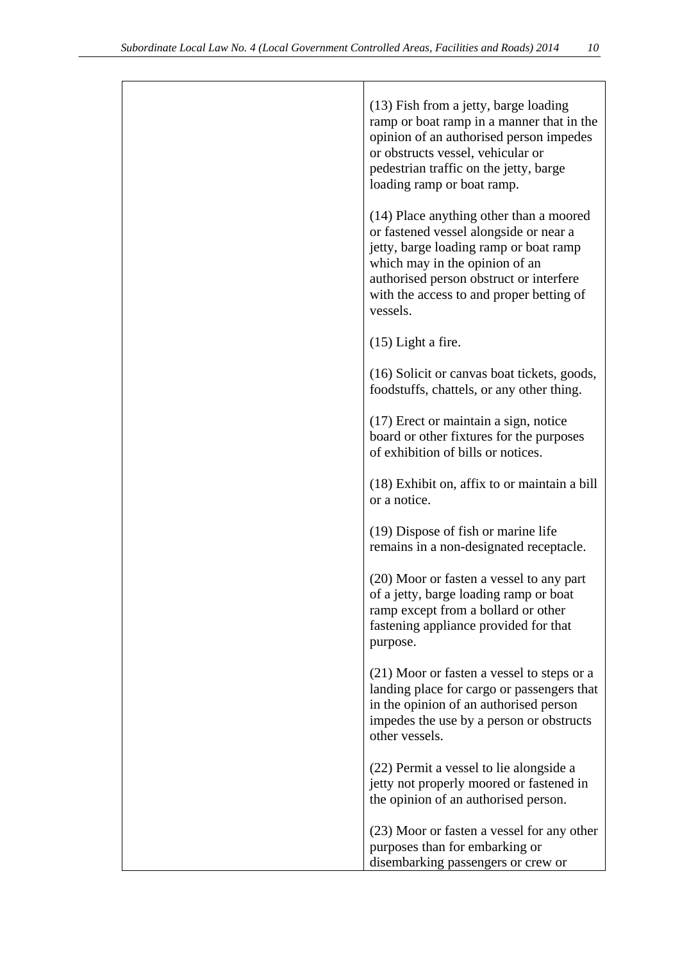| (13) Fish from a jetty, barge loading<br>ramp or boat ramp in a manner that in the<br>opinion of an authorised person impedes<br>or obstructs vessel, vehicular or<br>pedestrian traffic on the jetty, barge<br>loading ramp or boat ramp.                       |
|------------------------------------------------------------------------------------------------------------------------------------------------------------------------------------------------------------------------------------------------------------------|
| (14) Place anything other than a moored<br>or fastened vessel alongside or near a<br>jetty, barge loading ramp or boat ramp<br>which may in the opinion of an<br>authorised person obstruct or interfere<br>with the access to and proper betting of<br>vessels. |
| $(15)$ Light a fire.                                                                                                                                                                                                                                             |
| (16) Solicit or canvas boat tickets, goods,<br>foodstuffs, chattels, or any other thing.                                                                                                                                                                         |
| (17) Erect or maintain a sign, notice<br>board or other fixtures for the purposes<br>of exhibition of bills or notices.                                                                                                                                          |
| (18) Exhibit on, affix to or maintain a bill<br>or a notice.                                                                                                                                                                                                     |
| (19) Dispose of fish or marine life<br>remains in a non-designated receptacle.                                                                                                                                                                                   |
| (20) Moor or fasten a vessel to any part<br>of a jetty, barge loading ramp or boat<br>ramp except from a bollard or other<br>fastening appliance provided for that<br>purpose.                                                                                   |
| (21) Moor or fasten a vessel to steps or a<br>landing place for cargo or passengers that<br>in the opinion of an authorised person<br>impedes the use by a person or obstructs<br>other vessels.                                                                 |
| (22) Permit a vessel to lie alongside a<br>jetty not properly moored or fastened in<br>the opinion of an authorised person.                                                                                                                                      |
| (23) Moor or fasten a vessel for any other<br>purposes than for embarking or<br>disembarking passengers or crew or                                                                                                                                               |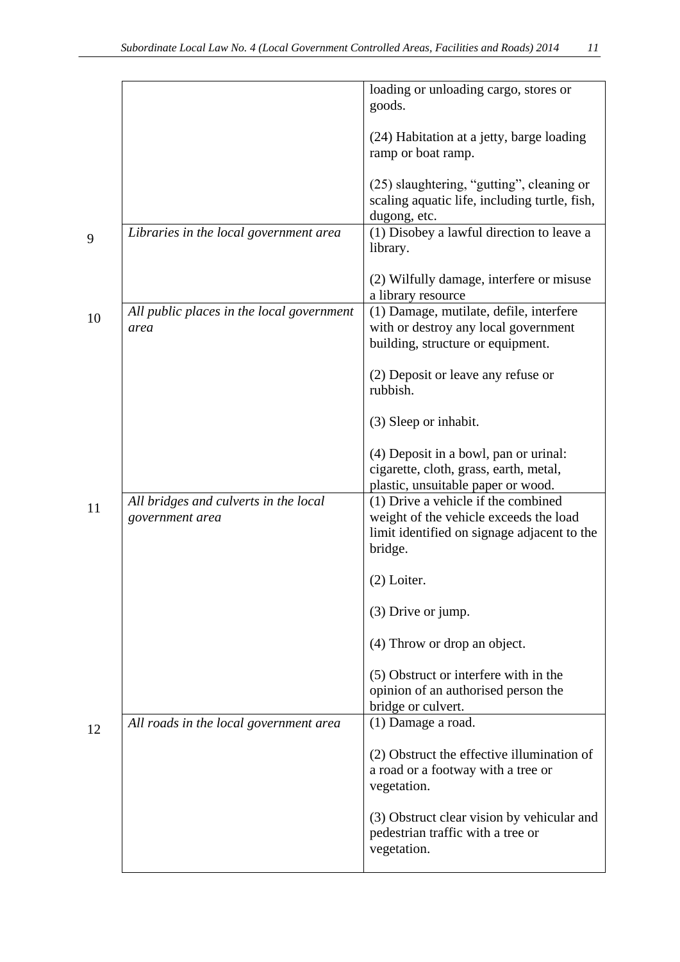|    |                                                          | loading or unloading cargo, stores or<br>goods.                                                                                         |
|----|----------------------------------------------------------|-----------------------------------------------------------------------------------------------------------------------------------------|
|    |                                                          | (24) Habitation at a jetty, barge loading<br>ramp or boat ramp.                                                                         |
|    |                                                          | (25) slaughtering, "gutting", cleaning or<br>scaling aquatic life, including turtle, fish,<br>dugong, etc.                              |
| 9  | Libraries in the local government area                   | (1) Disobey a lawful direction to leave a<br>library.                                                                                   |
|    |                                                          | (2) Wilfully damage, interfere or misuse<br>a library resource                                                                          |
| 10 | All public places in the local government<br>area        | (1) Damage, mutilate, defile, interfere<br>with or destroy any local government<br>building, structure or equipment.                    |
|    |                                                          | (2) Deposit or leave any refuse or<br>rubbish.                                                                                          |
|    |                                                          | (3) Sleep or inhabit.                                                                                                                   |
|    |                                                          | (4) Deposit in a bowl, pan or urinal:<br>cigarette, cloth, grass, earth, metal,<br>plastic, unsuitable paper or wood.                   |
| 11 | All bridges and culverts in the local<br>government area | (1) Drive a vehicle if the combined<br>weight of the vehicle exceeds the load<br>limit identified on signage adjacent to the<br>bridge. |
|    |                                                          | $(2)$ Loiter.                                                                                                                           |
|    |                                                          | (3) Drive or jump.                                                                                                                      |
|    |                                                          | (4) Throw or drop an object.                                                                                                            |
|    |                                                          | (5) Obstruct or interfere with in the<br>opinion of an authorised person the<br>bridge or culvert.                                      |
| 12 | All roads in the local government area                   | (1) Damage a road.                                                                                                                      |
|    |                                                          | (2) Obstruct the effective illumination of<br>a road or a footway with a tree or<br>vegetation.                                         |
|    |                                                          | (3) Obstruct clear vision by vehicular and<br>pedestrian traffic with a tree or<br>vegetation.                                          |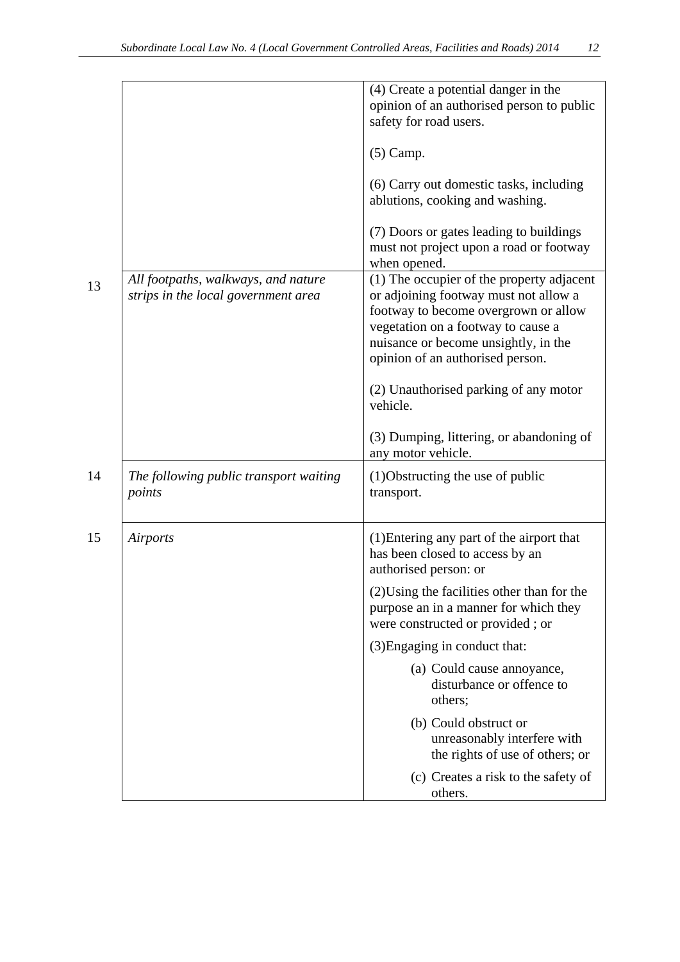|    |                                                                            | (4) Create a potential danger in the<br>opinion of an authorised person to public<br>safety for road users.<br>$(5)$ Camp.                                                                                                                                                                        |
|----|----------------------------------------------------------------------------|---------------------------------------------------------------------------------------------------------------------------------------------------------------------------------------------------------------------------------------------------------------------------------------------------|
|    |                                                                            | (6) Carry out domestic tasks, including<br>ablutions, cooking and washing.                                                                                                                                                                                                                        |
|    |                                                                            | (7) Doors or gates leading to buildings<br>must not project upon a road or footway<br>when opened.                                                                                                                                                                                                |
| 13 | All footpaths, walkways, and nature<br>strips in the local government area | (1) The occupier of the property adjacent<br>or adjoining footway must not allow a<br>footway to become overgrown or allow<br>vegetation on a footway to cause a<br>nuisance or become unsightly, in the<br>opinion of an authorised person.<br>(2) Unauthorised parking of any motor<br>vehicle. |
|    |                                                                            | (3) Dumping, littering, or abandoning of<br>any motor vehicle.                                                                                                                                                                                                                                    |
| 14 | The following public transport waiting<br>points                           | (1) Obstructing the use of public<br>transport.                                                                                                                                                                                                                                                   |
| 15 | Airports                                                                   | (1) Entering any part of the airport that<br>has been closed to access by an<br>authorised person: or                                                                                                                                                                                             |
|    |                                                                            | (2) Using the facilities other than for the<br>purpose an in a manner for which they<br>were constructed or provided; or                                                                                                                                                                          |
|    |                                                                            | (3) Engaging in conduct that:                                                                                                                                                                                                                                                                     |
|    |                                                                            | (a) Could cause annoyance,<br>disturbance or offence to<br>others;                                                                                                                                                                                                                                |
|    |                                                                            | (b) Could obstruct or<br>unreasonably interfere with<br>the rights of use of others; or                                                                                                                                                                                                           |
|    |                                                                            | (c) Creates a risk to the safety of<br>others.                                                                                                                                                                                                                                                    |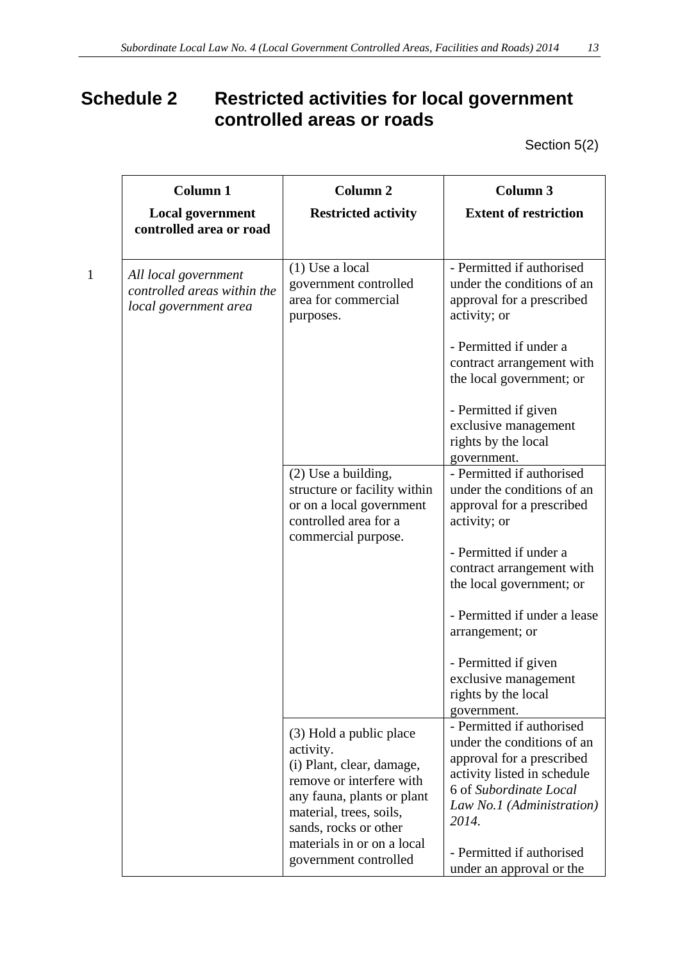# **Schedule 2 Restricted activities for local government controlled areas or roads**

Section 5(2)

| <b>Column 1</b>                                                              | <b>Column 2</b>                                                                                                                                                                 | <b>Column 3</b>                                                                                                                                                                     |
|------------------------------------------------------------------------------|---------------------------------------------------------------------------------------------------------------------------------------------------------------------------------|-------------------------------------------------------------------------------------------------------------------------------------------------------------------------------------|
| <b>Local government</b><br>controlled area or road                           | <b>Restricted activity</b>                                                                                                                                                      | <b>Extent of restriction</b>                                                                                                                                                        |
| All local government<br>controlled areas within the<br>local government area | $(1)$ Use a local<br>government controlled<br>area for commercial<br>purposes.                                                                                                  | - Permitted if authorised<br>under the conditions of an<br>approval for a prescribed<br>activity; or                                                                                |
|                                                                              |                                                                                                                                                                                 | - Permitted if under a<br>contract arrangement with<br>the local government; or                                                                                                     |
|                                                                              |                                                                                                                                                                                 | - Permitted if given<br>exclusive management<br>rights by the local<br>government.                                                                                                  |
|                                                                              | (2) Use a building,<br>structure or facility within<br>or on a local government<br>controlled area for a<br>commercial purpose.                                                 | - Permitted if authorised<br>under the conditions of an<br>approval for a prescribed<br>activity; or                                                                                |
|                                                                              |                                                                                                                                                                                 | - Permitted if under a<br>contract arrangement with<br>the local government; or                                                                                                     |
|                                                                              |                                                                                                                                                                                 | - Permitted if under a lease<br>arrangement; or                                                                                                                                     |
|                                                                              |                                                                                                                                                                                 | - Permitted if given<br>exclusive management<br>rights by the local<br>government.                                                                                                  |
|                                                                              | (3) Hold a public place<br>activity.<br>(i) Plant, clear, damage,<br>remove or interfere with<br>any fauna, plants or plant<br>material, trees, soils,<br>sands, rocks or other | - Permitted if authorised<br>under the conditions of an<br>approval for a prescribed<br>activity listed in schedule<br>6 of Subordinate Local<br>Law No.1 (Administration)<br>2014. |
|                                                                              | materials in or on a local<br>government controlled                                                                                                                             | - Permitted if authorised<br>under an approval or the                                                                                                                               |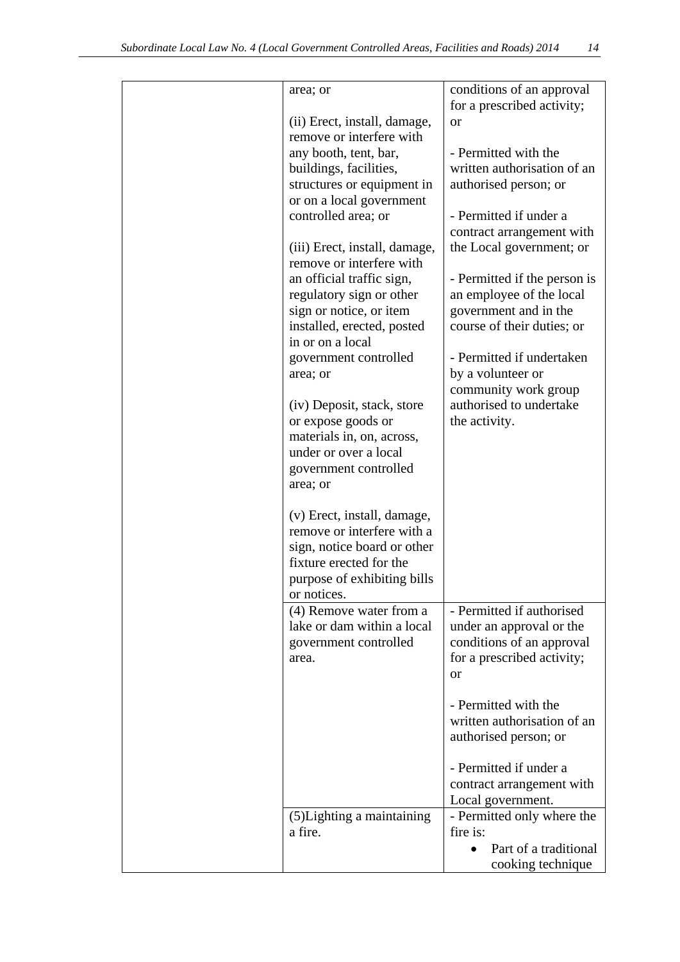| area; or                                              | conditions of an approval<br>for a prescribed activity;  |
|-------------------------------------------------------|----------------------------------------------------------|
| (ii) Erect, install, damage,                          | or                                                       |
| remove or interfere with                              |                                                          |
| any booth, tent, bar,                                 | - Permitted with the                                     |
| buildings, facilities,                                | written authorisation of an                              |
| structures or equipment in                            | authorised person; or                                    |
| or on a local government                              |                                                          |
| controlled area; or                                   | - Permitted if under a                                   |
|                                                       | contract arrangement with                                |
| (iii) Erect, install, damage,                         | the Local government; or                                 |
| remove or interfere with<br>an official traffic sign, |                                                          |
| regulatory sign or other                              | - Permitted if the person is<br>an employee of the local |
| sign or notice, or item                               | government and in the                                    |
| installed, erected, posted                            | course of their duties; or                               |
| in or on a local                                      |                                                          |
| government controlled                                 | - Permitted if undertaken                                |
| area; or                                              | by a volunteer or                                        |
|                                                       | community work group                                     |
| (iv) Deposit, stack, store                            | authorised to undertake                                  |
| or expose goods or                                    | the activity.                                            |
| materials in, on, across,<br>under or over a local    |                                                          |
| government controlled                                 |                                                          |
| area; or                                              |                                                          |
|                                                       |                                                          |
| (v) Erect, install, damage,                           |                                                          |
| remove or interfere with a                            |                                                          |
| sign, notice board or other                           |                                                          |
| fixture erected for the                               |                                                          |
| purpose of exhibiting bills<br>or notices.            |                                                          |
| (4) Remove water from a                               | - Permitted if authorised                                |
| lake or dam within a local                            | under an approval or the                                 |
| government controlled                                 | conditions of an approval                                |
| area.                                                 | for a prescribed activity;                               |
|                                                       | or                                                       |
|                                                       |                                                          |
|                                                       | - Permitted with the                                     |
|                                                       | written authorisation of an                              |
|                                                       | authorised person; or                                    |
|                                                       | - Permitted if under a                                   |
|                                                       | contract arrangement with                                |
|                                                       | Local government.                                        |
| (5) Lighting a maintaining                            | - Permitted only where the                               |
| a fire.                                               | fire is:                                                 |
|                                                       | Part of a traditional                                    |
|                                                       | cooking technique                                        |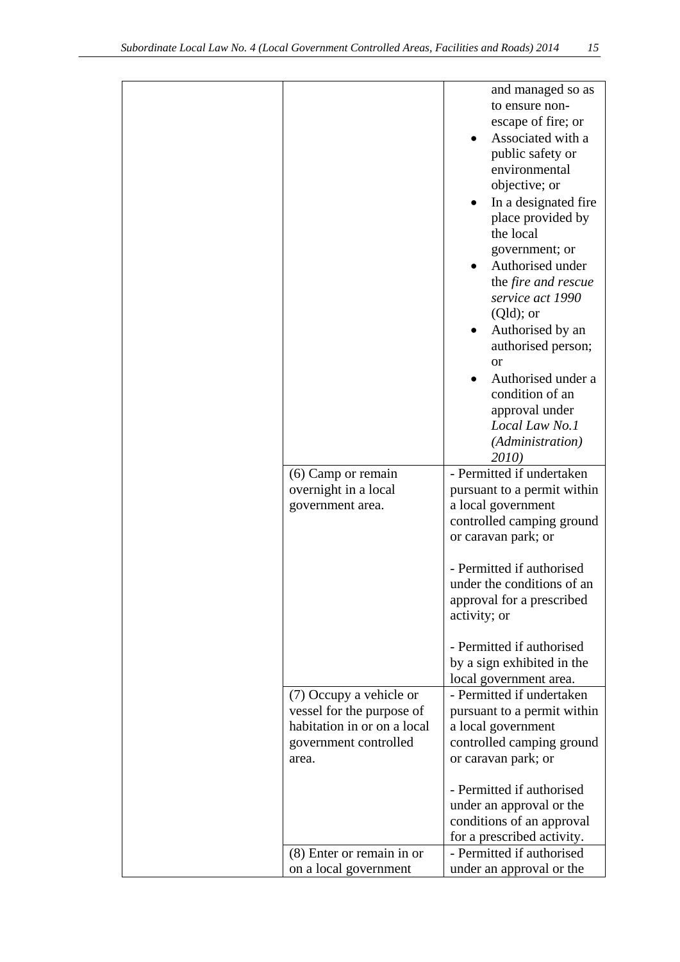| $(6)$ Camp or remain<br>overnight in a local<br>government area.                                                      | and managed so as<br>to ensure non-<br>escape of fire; or<br>Associated with a<br>public safety or<br>environmental<br>objective; or<br>In a designated fire<br>place provided by<br>the local<br>government; or<br>Authorised under<br>the fire and rescue<br>service act 1990<br>$(Qld)$ ; or<br>Authorised by an<br>authorised person;<br><sub>or</sub><br>Authorised under a<br>condition of an<br>approval under<br>Local Law No.1<br>(Administration)<br><i>2010</i><br>- Permitted if undertaken<br>pursuant to a permit within<br>a local government<br>controlled camping ground |
|-----------------------------------------------------------------------------------------------------------------------|-------------------------------------------------------------------------------------------------------------------------------------------------------------------------------------------------------------------------------------------------------------------------------------------------------------------------------------------------------------------------------------------------------------------------------------------------------------------------------------------------------------------------------------------------------------------------------------------|
|                                                                                                                       | or caravan park; or<br>- Permitted if authorised<br>under the conditions of an<br>approval for a prescribed<br>activity; or<br>- Permitted if authorised                                                                                                                                                                                                                                                                                                                                                                                                                                  |
|                                                                                                                       | by a sign exhibited in the<br>local government area.                                                                                                                                                                                                                                                                                                                                                                                                                                                                                                                                      |
| (7) Occupy a vehicle or<br>vessel for the purpose of<br>habitation in or on a local<br>government controlled<br>area. | - Permitted if undertaken<br>pursuant to a permit within<br>a local government<br>controlled camping ground<br>or caravan park; or                                                                                                                                                                                                                                                                                                                                                                                                                                                        |
|                                                                                                                       | - Permitted if authorised<br>under an approval or the<br>conditions of an approval<br>for a prescribed activity.                                                                                                                                                                                                                                                                                                                                                                                                                                                                          |
| (8) Enter or remain in or<br>on a local government                                                                    | - Permitted if authorised<br>under an approval or the                                                                                                                                                                                                                                                                                                                                                                                                                                                                                                                                     |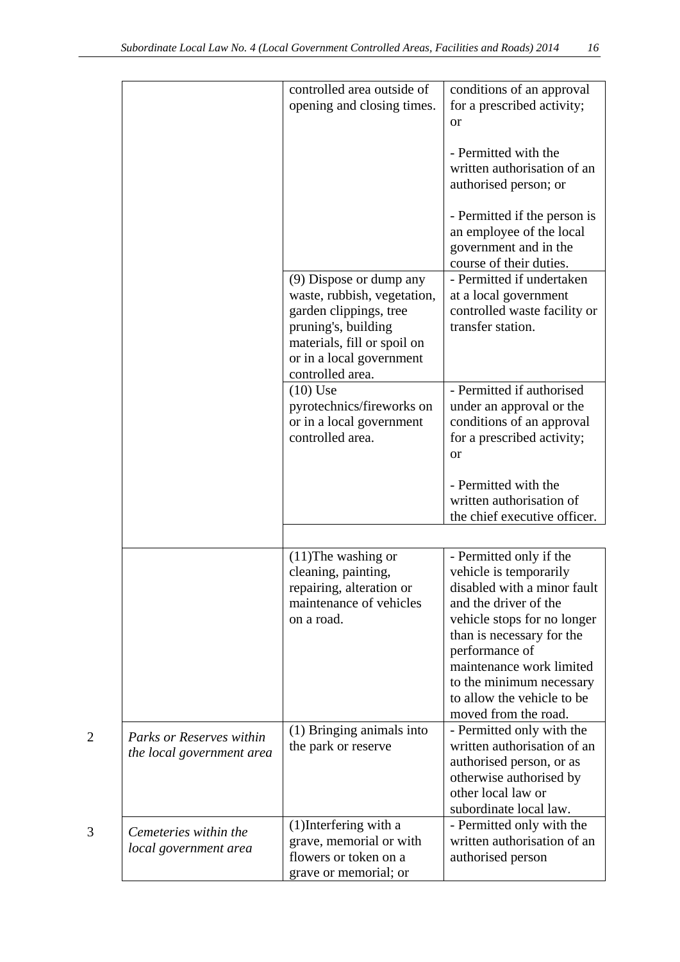|                |                                                       | controlled area outside of<br>opening and closing times.                                                                                                                               | conditions of an approval<br>for a prescribed activity;<br><b>or</b>                                                                                                                                                                                                                                  |
|----------------|-------------------------------------------------------|----------------------------------------------------------------------------------------------------------------------------------------------------------------------------------------|-------------------------------------------------------------------------------------------------------------------------------------------------------------------------------------------------------------------------------------------------------------------------------------------------------|
|                |                                                       |                                                                                                                                                                                        | - Permitted with the<br>written authorisation of an<br>authorised person; or                                                                                                                                                                                                                          |
|                |                                                       |                                                                                                                                                                                        | - Permitted if the person is<br>an employee of the local<br>government and in the<br>course of their duties.                                                                                                                                                                                          |
|                |                                                       | (9) Dispose or dump any<br>waste, rubbish, vegetation,<br>garden clippings, tree<br>pruning's, building<br>materials, fill or spoil on<br>or in a local government<br>controlled area. | - Permitted if undertaken<br>at a local government<br>controlled waste facility or<br>transfer station.                                                                                                                                                                                               |
|                |                                                       | $(10)$ Use<br>pyrotechnics/fireworks on<br>or in a local government<br>controlled area.                                                                                                | - Permitted if authorised<br>under an approval or the<br>conditions of an approval<br>for a prescribed activity;<br><sub>or</sub>                                                                                                                                                                     |
|                |                                                       |                                                                                                                                                                                        | - Permitted with the<br>written authorisation of<br>the chief executive officer.                                                                                                                                                                                                                      |
|                |                                                       |                                                                                                                                                                                        |                                                                                                                                                                                                                                                                                                       |
|                |                                                       | $(11)$ The washing or<br>cleaning, painting,<br>repairing, alteration or<br>maintenance of vehicles<br>on a road.                                                                      | - Permitted only if the<br>vehicle is temporarily<br>disabled with a minor fault<br>and the driver of the<br>vehicle stops for no longer<br>than is necessary for the<br>performance of<br>maintenance work limited<br>to the minimum necessary<br>to allow the vehicle to be<br>moved from the road. |
| $\overline{2}$ | Parks or Reserves within<br>the local government area | (1) Bringing animals into<br>the park or reserve                                                                                                                                       | - Permitted only with the<br>written authorisation of an<br>authorised person, or as<br>otherwise authorised by<br>other local law or<br>subordinate local law.                                                                                                                                       |
| 3              | Cemeteries within the<br>local government area        | (1) Interfering with a<br>grave, memorial or with<br>flowers or token on a<br>grave or memorial; or                                                                                    | - Permitted only with the<br>written authorisation of an<br>authorised person                                                                                                                                                                                                                         |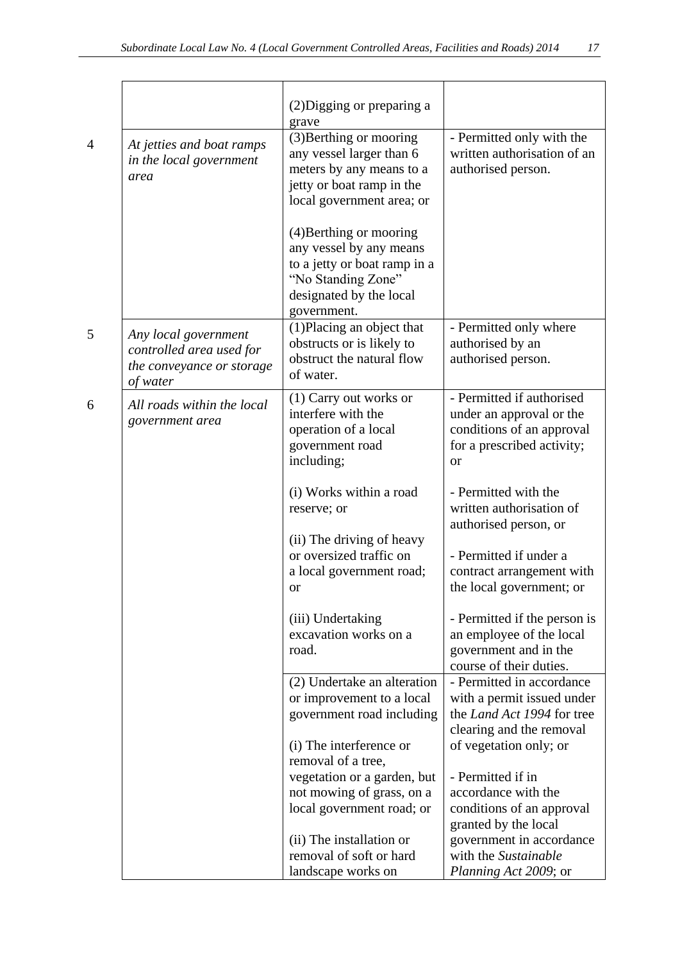|                                                                                           | (2) Digging or preparing a<br>grave                                                                                                                |                                                                                                                                   |
|-------------------------------------------------------------------------------------------|----------------------------------------------------------------------------------------------------------------------------------------------------|-----------------------------------------------------------------------------------------------------------------------------------|
| At jetties and boat ramps<br>in the local government<br>area                              | (3) Berthing or mooring<br>any vessel larger than 6<br>meters by any means to a<br>jetty or boat ramp in the<br>local government area; or          | - Permitted only with the<br>written authorisation of an<br>authorised person.                                                    |
|                                                                                           | (4) Berthing or mooring<br>any vessel by any means<br>to a jetty or boat ramp in a<br>"No Standing Zone"<br>designated by the local<br>government. |                                                                                                                                   |
| Any local government<br>controlled area used for<br>the conveyance or storage<br>of water | (1) Placing an object that<br>obstructs or is likely to<br>obstruct the natural flow<br>of water.                                                  | - Permitted only where<br>authorised by an<br>authorised person.                                                                  |
| All roads within the local<br>government area                                             | (1) Carry out works or<br>interfere with the<br>operation of a local<br>government road<br>including;                                              | - Permitted if authorised<br>under an approval or the<br>conditions of an approval<br>for a prescribed activity;<br><sub>or</sub> |
|                                                                                           | (i) Works within a road<br>reserve; or                                                                                                             | - Permitted with the<br>written authorisation of<br>authorised person, or                                                         |
|                                                                                           | (ii) The driving of heavy<br>or oversized traffic on<br>a local government road;<br>or                                                             | - Permitted if under a<br>contract arrangement with<br>the local government; or                                                   |
|                                                                                           | (iii) Undertaking<br>excavation works on a<br>road.                                                                                                | - Permitted if the person is<br>an employee of the local<br>government and in the<br>course of their duties.                      |
|                                                                                           | (2) Undertake an alteration<br>or improvement to a local<br>government road including                                                              | - Permitted in accordance<br>with a permit issued under<br>the Land Act 1994 for tree                                             |
|                                                                                           | (i) The interference or<br>removal of a tree,                                                                                                      | clearing and the removal<br>of vegetation only; or                                                                                |
|                                                                                           | vegetation or a garden, but<br>not mowing of grass, on a<br>local government road; or                                                              | - Permitted if in<br>accordance with the<br>conditions of an approval                                                             |
|                                                                                           | (ii) The installation or<br>removal of soft or hard<br>landscape works on                                                                          | granted by the local<br>government in accordance<br>with the Sustainable<br>Planning Act 2009; or                                 |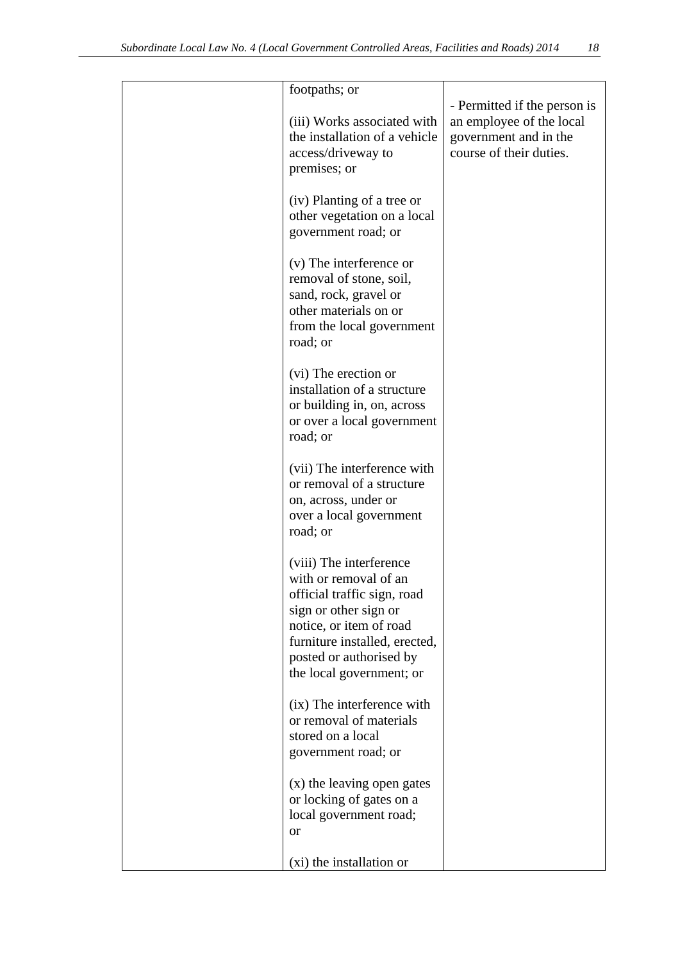| footpaths; or                                                | - Permitted if the person is                      |
|--------------------------------------------------------------|---------------------------------------------------|
| (iii) Works associated with<br>the installation of a vehicle | an employee of the local<br>government and in the |
| access/driveway to                                           | course of their duties.                           |
| premises; or                                                 |                                                   |
|                                                              |                                                   |
| (iv) Planting of a tree or                                   |                                                   |
| other vegetation on a local                                  |                                                   |
| government road; or                                          |                                                   |
| (v) The interference or                                      |                                                   |
| removal of stone, soil,                                      |                                                   |
| sand, rock, gravel or                                        |                                                   |
| other materials on or                                        |                                                   |
| from the local government                                    |                                                   |
| road; or                                                     |                                                   |
| (vi) The erection or                                         |                                                   |
| installation of a structure                                  |                                                   |
| or building in, on, across                                   |                                                   |
| or over a local government                                   |                                                   |
| road; or                                                     |                                                   |
| (vii) The interference with                                  |                                                   |
| or removal of a structure                                    |                                                   |
| on, across, under or                                         |                                                   |
| over a local government                                      |                                                   |
| road; or                                                     |                                                   |
| (viii) The interference                                      |                                                   |
| with or removal of an                                        |                                                   |
| official traffic sign, road                                  |                                                   |
| sign or other sign or                                        |                                                   |
| notice, or item of road                                      |                                                   |
| furniture installed, erected,                                |                                                   |
| posted or authorised by                                      |                                                   |
| the local government; or                                     |                                                   |
| (ix) The interference with                                   |                                                   |
| or removal of materials                                      |                                                   |
| stored on a local                                            |                                                   |
| government road; or                                          |                                                   |
| (x) the leaving open gates                                   |                                                   |
| or locking of gates on a                                     |                                                   |
| local government road;                                       |                                                   |
| <b>or</b>                                                    |                                                   |
| (xi) the installation or                                     |                                                   |
|                                                              |                                                   |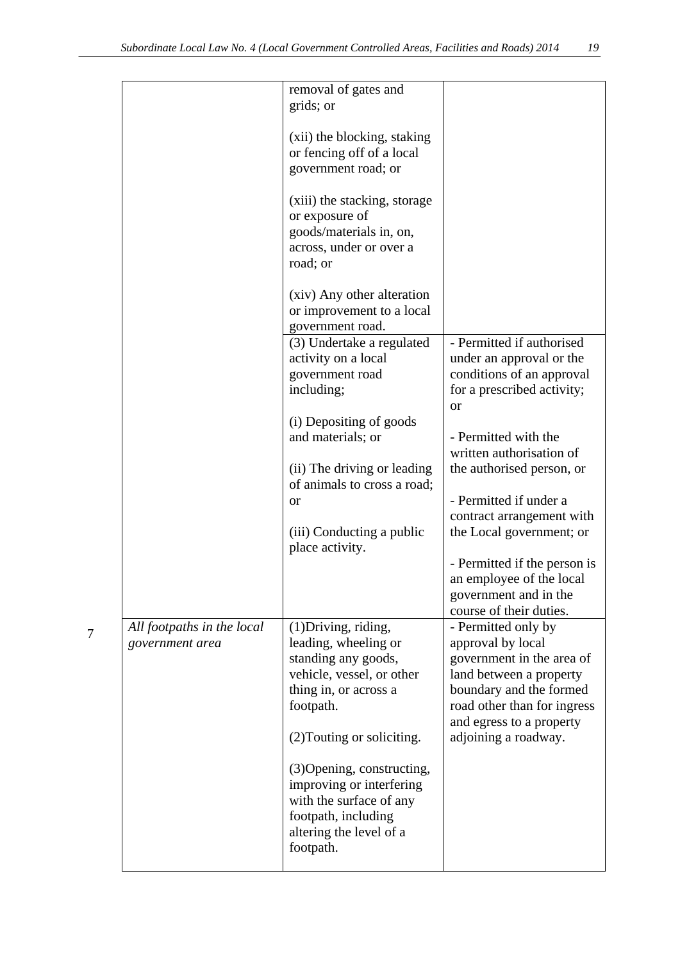| removal of gates and<br>grids; or                                                                                                                |                                                                                                                                                                                        |
|--------------------------------------------------------------------------------------------------------------------------------------------------|----------------------------------------------------------------------------------------------------------------------------------------------------------------------------------------|
| (xii) the blocking, staking<br>or fencing off of a local<br>government road; or                                                                  |                                                                                                                                                                                        |
| (xiii) the stacking, storage<br>or exposure of<br>goods/materials in, on,<br>across, under or over a<br>road; or                                 |                                                                                                                                                                                        |
| (xiv) Any other alteration<br>or improvement to a local<br>government road.                                                                      |                                                                                                                                                                                        |
| (3) Undertake a regulated<br>activity on a local<br>government road<br>including;                                                                | - Permitted if authorised<br>under an approval or the<br>conditions of an approval<br>for a prescribed activity;<br><sub>or</sub>                                                      |
| (i) Depositing of goods<br>and materials; or                                                                                                     | - Permitted with the<br>written authorisation of<br>the authorised person, or                                                                                                          |
| of animals to cross a road;<br><b>or</b>                                                                                                         | - Permitted if under a<br>contract arrangement with                                                                                                                                    |
| (iii) Conducting a public<br>place activity.                                                                                                     | the Local government; or<br>- Permitted if the person is                                                                                                                               |
|                                                                                                                                                  | an employee of the local<br>government and in the<br>course of their duties.                                                                                                           |
| (1) Driving, riding,<br>leading, wheeling or<br>standing any goods,<br>vehicle, vessel, or other<br>thing in, or across a<br>footpath.           | - Permitted only by<br>approval by local<br>government in the area of<br>land between a property<br>boundary and the formed<br>road other than for ingress<br>and egress to a property |
| (2) Touting or soliciting.                                                                                                                       | adjoining a roadway.                                                                                                                                                                   |
| (3) Opening, constructing,<br>improving or interfering<br>with the surface of any<br>footpath, including<br>altering the level of a<br>footpath. |                                                                                                                                                                                        |
|                                                                                                                                                  | (ii) The driving or leading                                                                                                                                                            |

7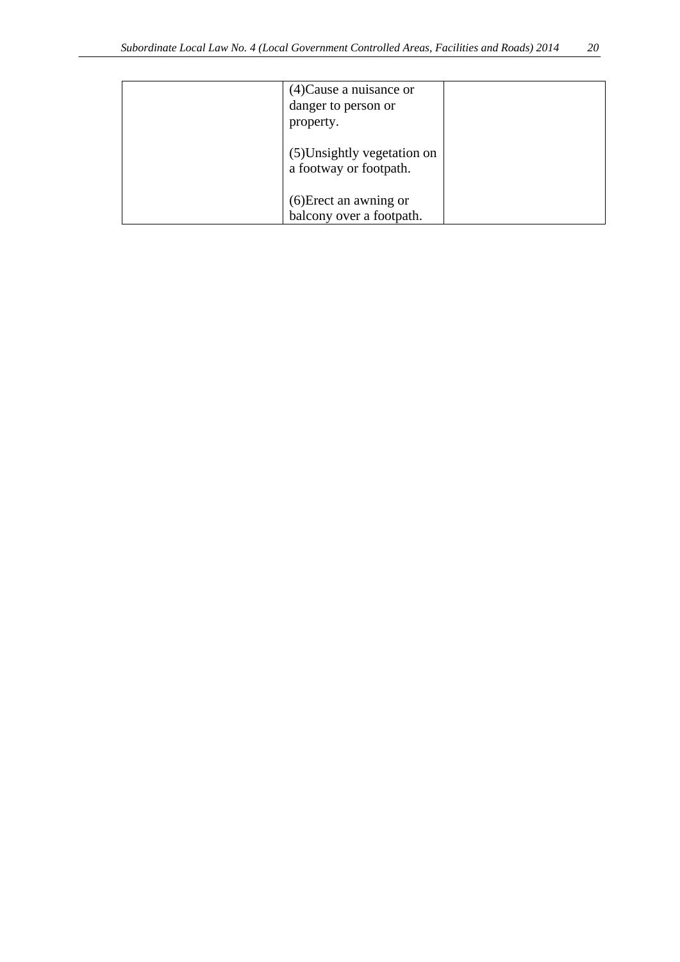| $(4)$ Cause a nuisance or<br>danger to person or<br>property. |  |
|---------------------------------------------------------------|--|
| (5) Unsightly vegetation on<br>a footway or footpath.         |  |
| (6) Erect an awning or<br>balcony over a footpath.            |  |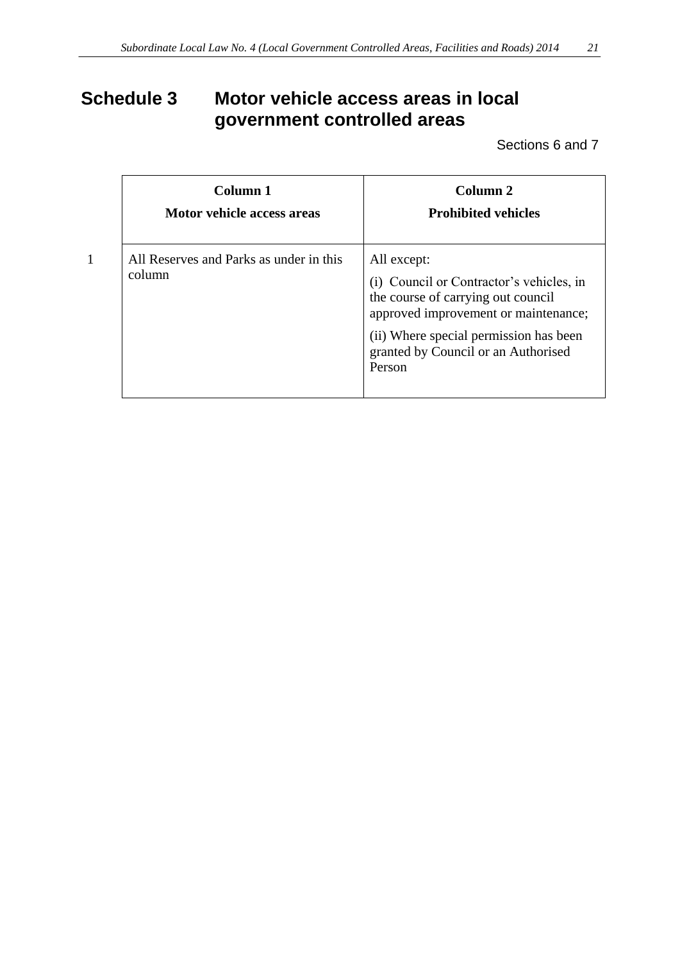# **Schedule 3 Motor vehicle access areas in local government controlled areas**

Sections 6 and 7

| Column 1<br>Motor vehicle access areas            | Column 2<br><b>Prohibited vehicles</b>                                                                                                                                                                                           |
|---------------------------------------------------|----------------------------------------------------------------------------------------------------------------------------------------------------------------------------------------------------------------------------------|
| All Reserves and Parks as under in this<br>column | All except:<br>(i) Council or Contractor's vehicles, in<br>the course of carrying out council<br>approved improvement or maintenance;<br>(ii) Where special permission has been<br>granted by Council or an Authorised<br>Person |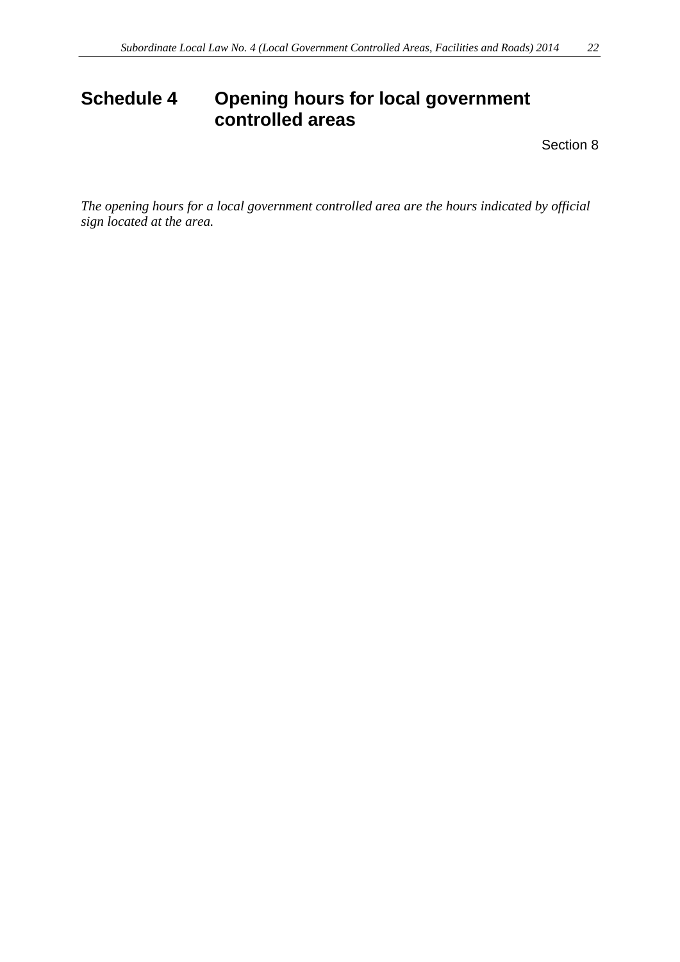# **Schedule 4 Opening hours for local government controlled areas**

Section 8

*The opening hours for a local government controlled area are the hours indicated by official sign located at the area.*